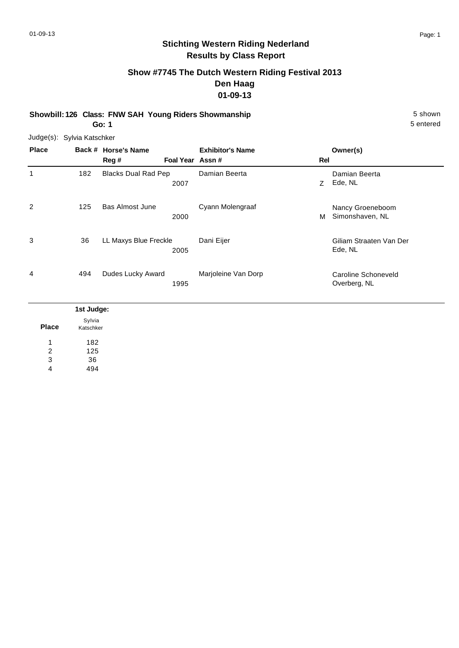# **Show #7745 The Dutch Western Riding Festival 2013 Den Haag 01-09-13**

**Showbill: 126 Class: FNW SAH Young Riders Showmanship** 5 Shown **Go: 1**

5 entered

Judge(s): Sylvia Katschker

| <b>Place</b>        |                     | Back # Horse's Name<br>Reg #       | <b>Exhibitor's Name</b><br>Foal Year Assn # | Rel | Owner(s)                            |
|---------------------|---------------------|------------------------------------|---------------------------------------------|-----|-------------------------------------|
| $\mathbf{1}$        | 182                 | <b>Blacks Dual Rad Pep</b><br>2007 | Damian Beerta                               | Z   | Damian Beerta<br>Ede, NL            |
| 2                   | 125                 | <b>Bas Almost June</b><br>2000     | Cyann Molengraaf                            | м   | Nancy Groeneboom<br>Simonshaven, NL |
| 3                   | 36                  | LL Maxys Blue Freckle<br>2005      | Dani Eijer                                  |     | Giliam Straaten Van Der<br>Ede, NL  |
| 4                   | 494                 | Dudes Lucky Award<br>1995          | Marjoleine Van Dorp                         |     | Caroline Schoneveld<br>Overberg, NL |
|                     | 1st Judge:          |                                    |                                             |     |                                     |
| <b>Place</b>        | Sylvia<br>Katschker |                                    |                                             |     |                                     |
| 1<br>$\overline{2}$ | 182<br>125          |                                    |                                             |     |                                     |

36 3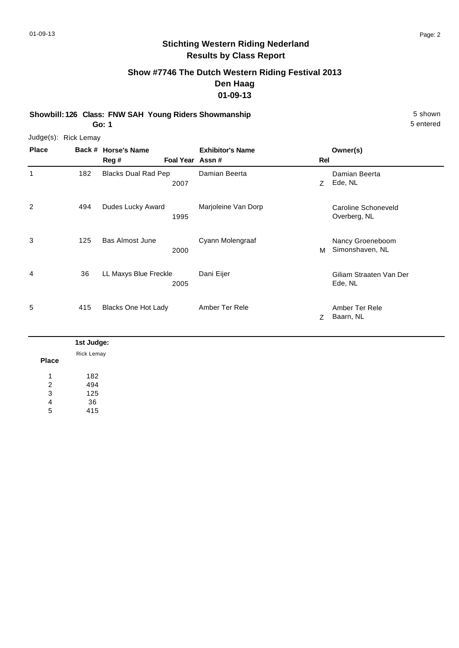# **Show #7746 The Dutch Western Riding Festival 2013 Den Haag 01-09-13**

**Showbill: 126 Class: FNW SAH Young Riders Showmanship** 5 shown 5 shown **Go: 1**

|              | Judge(s): Rick Lemay |                            |                 |                         |     |                                     |
|--------------|----------------------|----------------------------|-----------------|-------------------------|-----|-------------------------------------|
| <b>Place</b> |                      | Back # Horse's Name        |                 | <b>Exhibitor's Name</b> |     | Owner(s)                            |
|              |                      | Reg #                      | Foal Year Assn# |                         | Rel |                                     |
| 1            | 182                  | <b>Blacks Dual Rad Pep</b> | 2007            | Damian Beerta           | Z   | Damian Beerta<br>Ede, NL            |
| 2            | 494                  | Dudes Lucky Award          | 1995            | Marjoleine Van Dorp     |     | Caroline Schoneveld<br>Overberg, NL |
| 3            | 125                  | <b>Bas Almost June</b>     | 2000            | Cyann Molengraaf        | м   | Nancy Groeneboom<br>Simonshaven, NL |
| 4            | 36                   | LL Maxys Blue Freckle      | 2005            | Dani Eijer              |     | Giliam Straaten Van Der<br>Ede, NL  |
| 5            | 415                  | Blacks One Hot Lady        |                 | Amber Ter Rele          | Z   | Amber Ter Rele<br>Baarn, NL         |

|                | 1st Judge: |
|----------------|------------|
|                | Rick Lemay |
| <b>Place</b>   |            |
| 4              | 182        |
| $\overline{2}$ | 494        |
| 3              | 125        |
| $\overline{4}$ | 36         |
| 5              | 415        |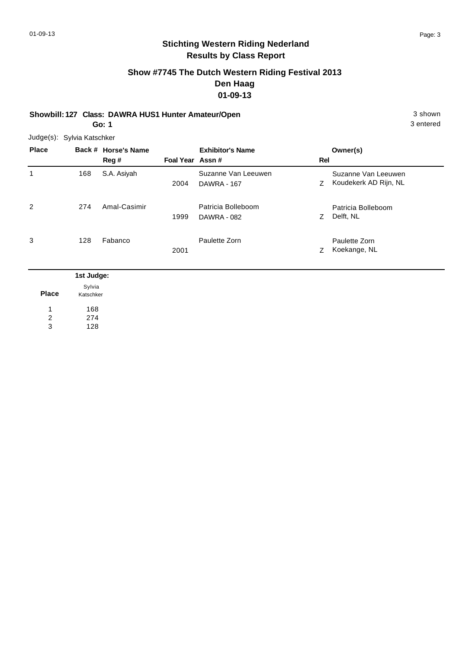# **Show #7745 The Dutch Western Riding Festival 2013 Den Haag 01-09-13**

**Showbill: 127 Class: DAWRA HUS1 Hunter Amateur/Open** 3 shown 3 shown

**Go: 1**

Judge(s): Sylvia Katschker

| <b>Place</b> |            | Back # Horse's Name<br>Reg # | Foal Year Assn# | <b>Exhibitor's Name</b>                   | Rel | Owner(s)                                     |
|--------------|------------|------------------------------|-----------------|-------------------------------------------|-----|----------------------------------------------|
| 1            | 168        | S.A. Asiyah                  | 2004            | Suzanne Van Leeuwen<br><b>DAWRA - 167</b> | Z   | Suzanne Van Leeuwen<br>Koudekerk AD Rijn, NL |
| 2            | 274        | Amal-Casimir                 | 1999            | Patricia Bolleboom<br><b>DAWRA - 082</b>  | Z.  | Patricia Bolleboom<br>Delft, NL              |
| 3            | 128        | Fabanco                      | 2001            | Paulette Zorn                             | Z   | Paulette Zorn<br>Koekange, NL                |
|              | 1st Judge: |                              |                 |                                           |     |                                              |

|       | ı sı vuuy |
|-------|-----------|
|       | Sylvia    |
| Place | Katschker |
| 1     | 168       |
| 2     | 274       |
| 3     | 128       |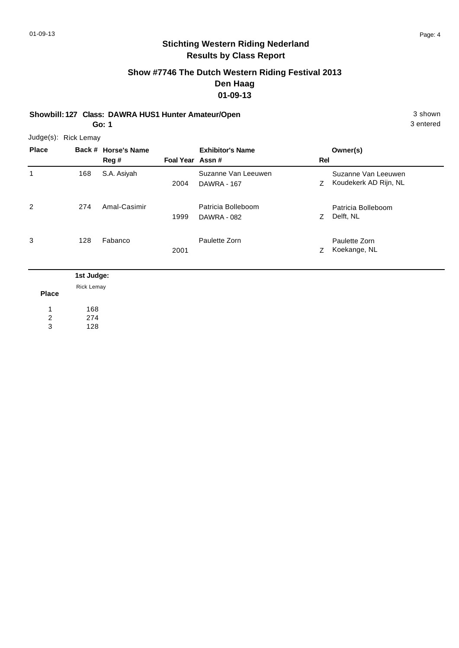# **Show #7746 The Dutch Western Riding Festival 2013 Den Haag 01-09-13**

**Showbill: 127 Class: DAWRA HUS1 Hunter Amateur/Open** 3 shown 3 shown

**Go: 1**

Judge(s): Rick Lemay

| <b>Place</b> |            | Back # Horse's Name<br>Reg # | Foal Year Assn# | <b>Exhibitor's Name</b>                   | Rel | Owner(s)                                     |
|--------------|------------|------------------------------|-----------------|-------------------------------------------|-----|----------------------------------------------|
| 1            | 168        | S.A. Asiyah                  | 2004            | Suzanne Van Leeuwen<br><b>DAWRA - 167</b> | Z   | Suzanne Van Leeuwen<br>Koudekerk AD Rijn, NL |
| 2            | 274        | Amal-Casimir                 | 1999            | Patricia Bolleboom<br>DAWRA - 082         | Z.  | Patricia Bolleboom<br>Delft, NL              |
| 3            | 128        | Fabanco                      | 2001            | Paulette Zorn                             | Z   | Paulette Zorn<br>Koekange, NL                |
|              | 1st Judge: |                              |                 |                                           |     |                                              |

| Place | Rick Lemay |
|-------|------------|
| 1     | 168        |
| 2     | 274        |
| 3     | 128        |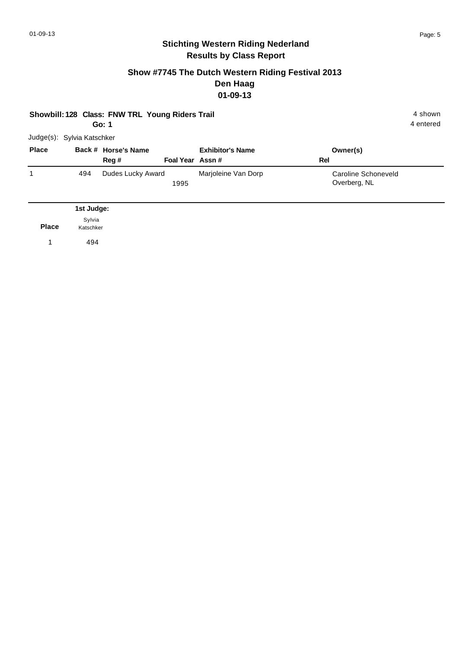#### **Show #7745 The Dutch Western Riding Festival 2013 Den Haag 01-09-13**

|  | Showbill: 128 Class: FNW TRL Young Riders Trail | 4 shown |
|--|-------------------------------------------------|---------|
|  |                                                 |         |

**Go: 1**

| <b>Place</b> |     | Back # Horse's Name<br>Reg # | Foal Year Assn# | <b>Exhibitor's Name</b> | Owner(s)<br>Rel                     |
|--------------|-----|------------------------------|-----------------|-------------------------|-------------------------------------|
|              | 494 | Dudes Lucky Award            | 1995            | Marjoleine Van Dorp     | Caroline Schoneveld<br>Overberg, NL |

|              | 1st Judge:          |
|--------------|---------------------|
| <b>Place</b> | Sylvia<br>Katschker |
|              | 494                 |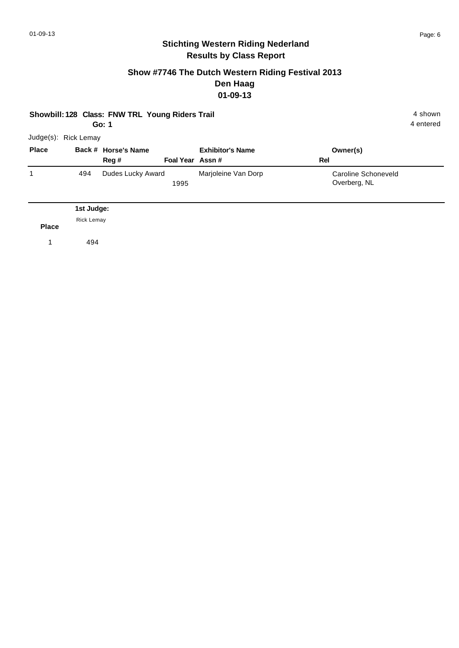#### **Show #7746 The Dutch Western Riding Festival 2013 Den Haag 01-09-13**

#### **Showbill: 128 Class: FNW TRL Young Riders Trail 4 shown 4 shown**

**Go: 1**

4 entered

| <b>Place</b> |     | Back # Horse's Name |                 | <b>Exhibitor's Name</b> | Owner(s)            |
|--------------|-----|---------------------|-----------------|-------------------------|---------------------|
|              |     | Reg #               | Foal Year Assn# |                         | Rel                 |
|              | 494 | Dudes Lucky Award   |                 | Marjoleine Van Dorp     | Caroline Schoneveld |
|              |     |                     | 1995            |                         | Overberg, NL        |

**Place** 1 494 Rick Lemay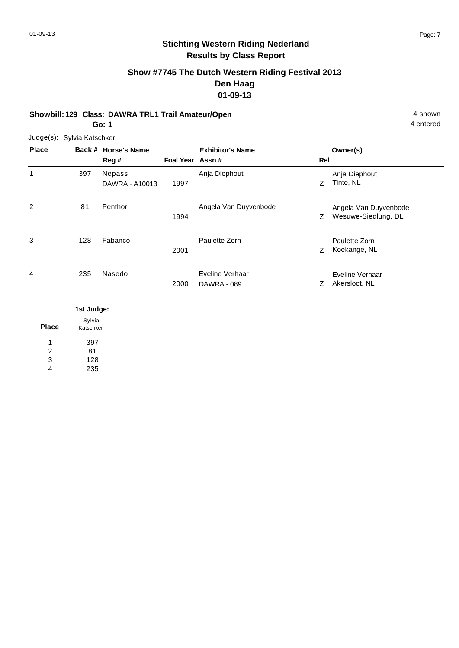# **Show #7745 The Dutch Western Riding Festival 2013 Den Haag 01-09-13**

**Showbill: 129 Class: DAWRA TRL1 Trail Amateur/Open** 4 shown

**Go: 1**

81 128 235

2 3 4

Judge(s): Sylvia Katschker

| <b>Place</b> |                     | Back # Horse's Name<br>Reg# | Foal Year Assn# | <b>Exhibitor's Name</b>               | Rel | Owner(s)                                     |
|--------------|---------------------|-----------------------------|-----------------|---------------------------------------|-----|----------------------------------------------|
| $\mathbf{1}$ | 397                 | Nepass<br>DAWRA - A10013    | 1997            | Anja Diephout                         | Z   | Anja Diephout<br>Tinte, NL                   |
| 2            | 81                  | Penthor                     | 1994            | Angela Van Duyvenbode                 | Z   | Angela Van Duyvenbode<br>Wesuwe-Siedlung, DL |
| 3            | 128                 | Fabanco                     | 2001            | Paulette Zorn                         | Z   | Paulette Zorn<br>Koekange, NL                |
| 4            | 235                 | Nasedo                      | 2000            | Eveline Verhaar<br><b>DAWRA - 089</b> | Z   | Eveline Verhaar<br>Akersloot, NL             |
|              | 1st Judge:          |                             |                 |                                       |     |                                              |
| <b>Place</b> | Sylvia<br>Katschker |                             |                 |                                       |     |                                              |
| 1            | 397                 |                             |                 |                                       |     |                                              |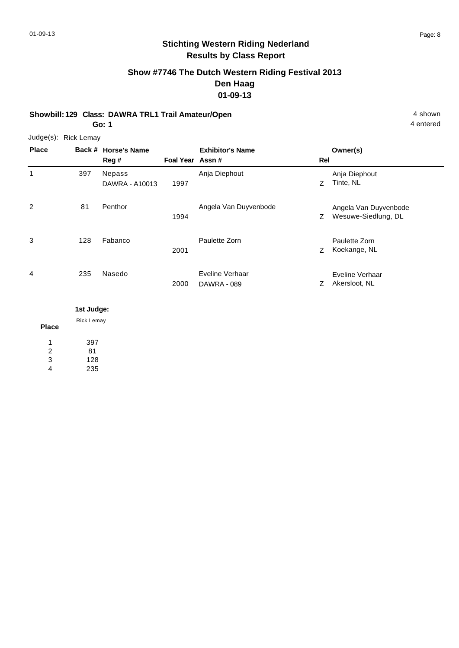# **Show #7746 The Dutch Western Riding Festival 2013 Den Haag 01-09-13**

**Showbill: 129 Class: DAWRA TRL1 Trail Amateur/Open** 4 shown

**Go: 1**

4 entered

Judge(s): Rick Lemay

| <b>Place</b>               |                  | Back # Horse's Name      |                  | <b>Exhibitor's Name</b>               |     | Owner(s)                                     |
|----------------------------|------------------|--------------------------|------------------|---------------------------------------|-----|----------------------------------------------|
|                            |                  | Reg#                     | Foal Year Assn # |                                       | Rel |                                              |
| 1                          | 397              | Nepass<br>DAWRA - A10013 | 1997             | Anja Diephout                         | Z   | Anja Diephout<br>Tinte, NL                   |
| $\overline{2}$             | 81               | Penthor                  | 1994             | Angela Van Duyvenbode                 | Z   | Angela Van Duyvenbode<br>Wesuwe-Siedlung, DL |
| 3                          | 128              | Fabanco                  | 2001             | Paulette Zorn                         | Z   | Paulette Zorn<br>Koekange, NL                |
| 4                          | 235              | Nasedo                   | 2000             | Eveline Verhaar<br><b>DAWRA - 089</b> | Z   | Eveline Verhaar<br>Akersloot, NL             |
|                            | 1st Judge:       |                          |                  |                                       |     |                                              |
| <b>Place</b>               | Rick Lemay       |                          |                  |                                       |     |                                              |
| 1                          | 397              |                          |                  |                                       |     |                                              |
| $\boldsymbol{2}$<br>3<br>4 | 81<br>128<br>235 |                          |                  |                                       |     |                                              |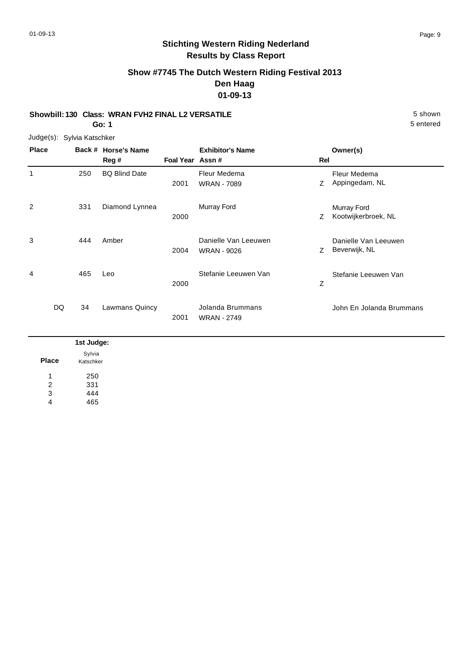# **Show #7745 The Dutch Western Riding Festival 2013 Den Haag 01-09-13**

#### **Showbill: 130 Class: WRAN FVH2 FINAL L2 VERSATILE** 5 Shown

**Go: 1**

Judge(s): Sylvia Katschker

| <b>Place</b>   |          | Back # Horse's Name<br>Reg # | Foal Year Assn# | <b>Exhibitor's Name</b>                    | Rel | Owner(s)                              |
|----------------|----------|------------------------------|-----------------|--------------------------------------------|-----|---------------------------------------|
| 1              | 250      | <b>BQ Blind Date</b>         | 2001            | Fleur Medema<br><b>WRAN - 7089</b>         | Z   | Fleur Medema<br>Appingedam, NL        |
| $\overline{2}$ | 331      | Diamond Lynnea               | 2000            | Murray Ford                                | Z   | Murray Ford<br>Kootwijkerbroek, NL    |
| 3              | 444      | Amber                        | 2004            | Danielle Van Leeuwen<br><b>WRAN - 9026</b> | Z   | Danielle Van Leeuwen<br>Beverwijk, NL |
| 4              | 465      | Leo                          | 2000            | Stefanie Leeuwen Van                       | Z   | Stefanie Leeuwen Van                  |
|                | DQ<br>34 | Lawmans Quincy               | 2001            | Jolanda Brummans<br><b>WRAN - 2749</b>     |     | John En Jolanda Brummans              |

|              | 1st Judge:          |
|--------------|---------------------|
| <b>Place</b> | Sylvia<br>Katschker |
| л            | 250                 |
| 2            | 331                 |
| 3            | 444                 |
| 4            | 465                 |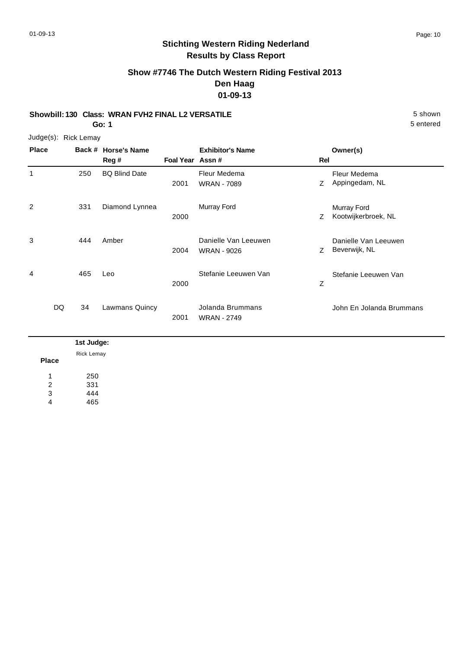5 entered

# **Stichting Western Riding Nederland Results by Class Report**

**Show #7746 The Dutch Western Riding Festival 2013 Den Haag 01-09-13**

#### **Showbill: 130 Class: WRAN FVH2 FINAL L2 VERSATILE** 5 Shown

**Go: 1**

Judge(s): Rick Lemay

| <b>Place</b> | Back #   | <b>Horse's Name</b><br>Reg # | Foal Year Assn# | <b>Exhibitor's Name</b>                    | Rel | Owner(s)                              |
|--------------|----------|------------------------------|-----------------|--------------------------------------------|-----|---------------------------------------|
| 1            | 250      | <b>BQ Blind Date</b>         | 2001            | Fleur Medema<br><b>WRAN - 7089</b>         | Z   | Fleur Medema<br>Appingedam, NL        |
| 2            | 331      | Diamond Lynnea               | 2000            | Murray Ford                                | Z   | Murray Ford<br>Kootwijkerbroek, NL    |
| 3            | 444      | Amber                        | 2004            | Danielle Van Leeuwen<br><b>WRAN - 9026</b> | Z   | Danielle Van Leeuwen<br>Beverwijk, NL |
| 4            | 465      | Leo                          | 2000            | Stefanie Leeuwen Van                       | Z   | Stefanie Leeuwen Van                  |
|              | DQ<br>34 | Lawmans Quincy               | 2001            | Jolanda Brummans<br><b>WRAN - 2749</b>     |     | John En Jolanda Brummans              |

|              | 1st Judge: |
|--------------|------------|
|              | Rick Lemay |
| <b>Place</b> |            |
| 1            | 250        |
| 2            | 331        |
| 3            | 444        |
| 4            | 465        |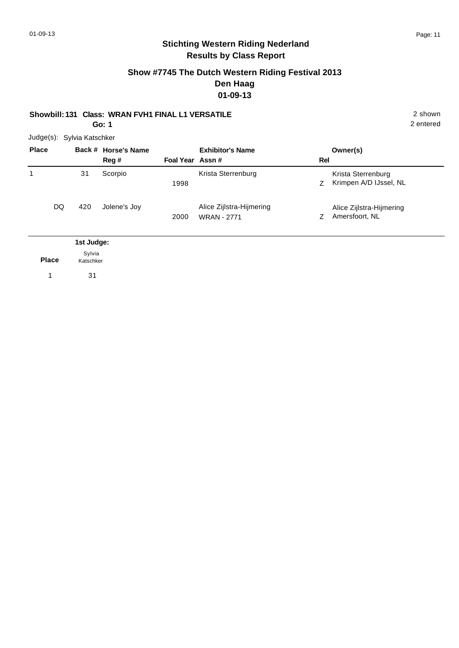#### **Show #7745 The Dutch Western Riding Festival 2013 Den Haag 01-09-13**

# **Showbill: 131 Class: WRAN FVH1 FINAL L1 VERSATILE** 2 shown

**Go: 1**

2 entered

|  | Judge(s): Sylvia Katschker |  |
|--|----------------------------|--|
|--|----------------------------|--|

| <b>Place</b> |    |                     | Back # Horse's Name<br>Reg# | Foal Year Assn# | <b>Exhibitor's Name</b>                        | Rel | Owner(s)                                     |
|--------------|----|---------------------|-----------------------------|-----------------|------------------------------------------------|-----|----------------------------------------------|
| 1            |    | 31                  | Scorpio                     | 1998            | Krista Sterrenburg                             | Ζ   | Krista Sterrenburg<br>Krimpen A/D IJssel, NL |
|              | DQ | 420                 | Jolene's Joy                | 2000            | Alice Zijlstra-Hijmering<br><b>WRAN - 2771</b> | Ζ   | Alice Zijlstra-Hijmering<br>Amersfoort, NL   |
| 1st Judge:   |    |                     |                             |                 |                                                |     |                                              |
| <b>Place</b> |    | Sylvia<br>Katschker |                             |                 |                                                |     |                                              |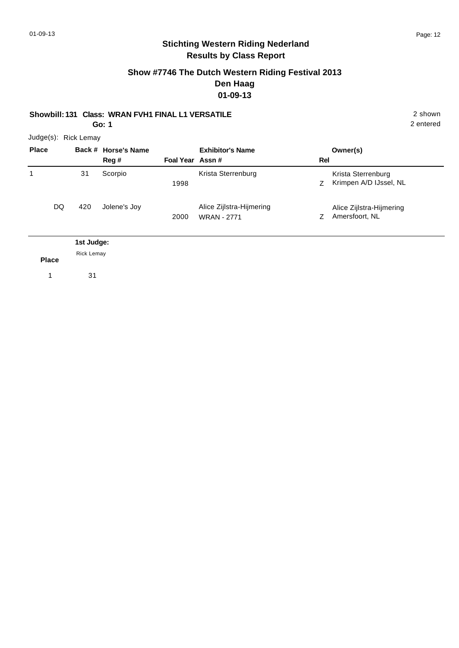# **Stichting Western Riding Nederland Results by Class Report**

#### **Show #7746 The Dutch Western Riding Festival 2013 Den Haag 01-09-13**

**Showbill: 131 Class: WRAN FVH1 FINAL L1 VERSATILE** 2 shown

**Go: 1**

2 entered

| <b>Place</b> |                                 | Back # Horse's Name |                 | <b>Exhibitor's Name</b>                        |     | Owner(s)                                     |
|--------------|---------------------------------|---------------------|-----------------|------------------------------------------------|-----|----------------------------------------------|
|              |                                 | Reg#                | Foal Year Assn# |                                                | Rel |                                              |
| 1            | 31                              | Scorpio             | 1998            | Krista Sterrenburg                             | Z.  | Krista Sterrenburg<br>Krimpen A/D IJssel, NL |
| DQ.          | 420                             | Jolene's Joy        | 2000            | Alice Zijlstra-Hijmering<br><b>WRAN - 2771</b> | Z.  | Alice Zijlstra-Hijmering<br>Amersfoort, NL   |
|              | 1st Judge:<br><b>Rick Lemay</b> |                     |                 |                                                |     |                                              |

**Place**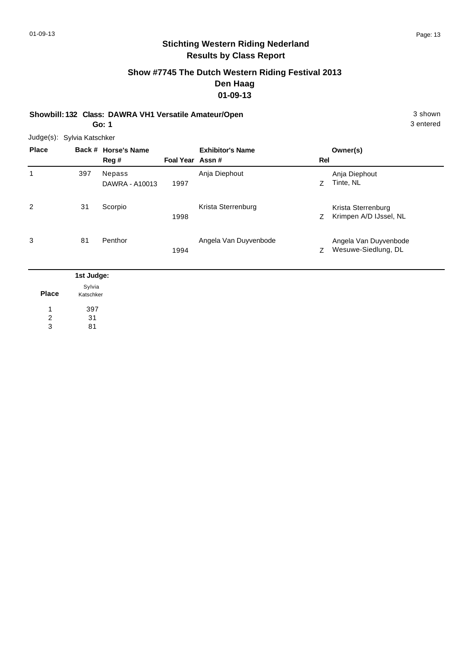# **Show #7745 The Dutch Western Riding Festival 2013 Den Haag 01-09-13**

**Showbill: 132 Class: DAWRA VH1 Versatile Amateur/Open** 3 shown **Go: 1**

Judge(s): Sylvia Katschker

| <b>Place</b> |                             | Back # Horse's Name<br>Reg #    | Foal Year Assn# | <b>Exhibitor's Name</b> | Rel | Owner(s)                                     |
|--------------|-----------------------------|---------------------------------|-----------------|-------------------------|-----|----------------------------------------------|
| 1            | 397                         | <b>Nepass</b><br>DAWRA - A10013 | 1997            | Anja Diephout           | Z.  | Anja Diephout<br>Tinte, NL                   |
| 2            | 31                          | Scorpio                         | 1998            | Krista Sterrenburg      | Z   | Krista Sterrenburg<br>Krimpen A/D IJssel, NL |
| 3            | 81                          | Penthor                         | 1994            | Angela Van Duyvenbode   | Ζ   | Angela Van Duyvenbode<br>Wesuwe-Siedlung, DL |
|              | 1st Judge:<br>$\sim$ $\sim$ |                                 |                 |                         |     |                                              |

| Place | Sylvia<br>Katschker |  |  |  |  |
|-------|---------------------|--|--|--|--|
| 1     | 397                 |  |  |  |  |
| 2     | 31                  |  |  |  |  |
| વ     | 81                  |  |  |  |  |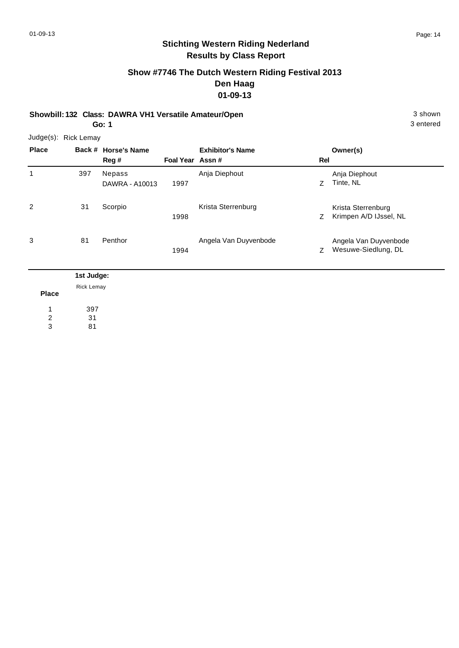# **Show #7746 The Dutch Western Riding Festival 2013 Den Haag 01-09-13**

**Showbill: 132 Class: DAWRA VH1 Versatile Amateur/Open** 3 shown **Go: 1**

3 entered

| Judge(s): Rick Lemay |            |                     |                 |                         |     |                        |  |  |
|----------------------|------------|---------------------|-----------------|-------------------------|-----|------------------------|--|--|
| <b>Place</b>         |            | Back # Horse's Name |                 | <b>Exhibitor's Name</b> |     | Owner(s)               |  |  |
|                      |            | Reg#                | Foal Year Assn# |                         | Rel |                        |  |  |
| 1                    | 397        | Nepass              |                 | Anja Diephout           |     | Anja Diephout          |  |  |
|                      |            | DAWRA - A10013      | 1997            |                         | Z   | Tinte, NL              |  |  |
| 2                    | 31         | Scorpio             |                 | Krista Sterrenburg      |     | Krista Sterrenburg     |  |  |
|                      |            |                     | 1998            |                         | Z   | Krimpen A/D IJssel, NL |  |  |
| 3                    | 81         | Penthor             |                 | Angela Van Duyvenbode   |     | Angela Van Duyvenbode  |  |  |
|                      |            |                     | 1994            |                         | Z   | Wesuwe-Siedlung, DL    |  |  |
|                      | 1st Judge: |                     |                 |                         |     |                        |  |  |
| <b>Place</b>         | Rick Lemay |                     |                 |                         |     |                        |  |  |

397 31 1 2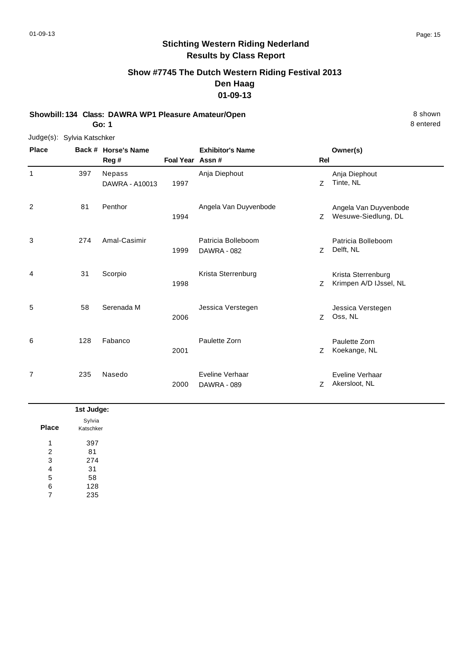# **Show #7745 The Dutch Western Riding Festival 2013 Den Haag 01-09-13**

**Showbill: 134 Class: DAWRA WP1 Pleasure Amateur/Open** 8 Shown 8 Shown **Go: 1**

Judge(s): Sylvia Katschker

| <b>Place</b> |     | Back # Horse's Name<br>Reg # | Foal Year Assn # | <b>Exhibitor's Name</b>                  | Rel | Owner(s)                                     |
|--------------|-----|------------------------------|------------------|------------------------------------------|-----|----------------------------------------------|
| $\mathbf{1}$ | 397 | Nepass<br>DAWRA - A10013     | 1997             | Anja Diephout                            | Z   | Anja Diephout<br>Tinte, NL                   |
| 2            | 81  | Penthor                      | 1994             | Angela Van Duyvenbode                    | Z   | Angela Van Duyvenbode<br>Wesuwe-Siedlung, DL |
| 3            | 274 | Amal-Casimir                 | 1999             | Patricia Bolleboom<br><b>DAWRA - 082</b> | Z   | Patricia Bolleboom<br>Delft, NL              |
| 4            | 31  | Scorpio                      | 1998             | Krista Sterrenburg                       | Z   | Krista Sterrenburg<br>Krimpen A/D IJssel, NL |
| 5            | 58  | Serenada M                   | 2006             | Jessica Verstegen                        | Z   | Jessica Verstegen<br>Oss, NL                 |
| 6            | 128 | Fabanco                      | 2001             | Paulette Zorn                            | Ζ   | Paulette Zorn<br>Koekange, NL                |
| 7            | 235 | Nasedo                       | 2000             | Eveline Verhaar<br><b>DAWRA - 089</b>    | Z.  | Eveline Verhaar<br>Akersloot, NL             |

|                | 1st Judge:          |
|----------------|---------------------|
| <b>Place</b>   | Sylvia<br>Katschker |
| и              | 397                 |
| $\overline{2}$ | 81                  |
| 3              | 274                 |
| 4              | 31                  |
| 5              | 58                  |
| 6              | 128                 |
| $\overline{7}$ | 235                 |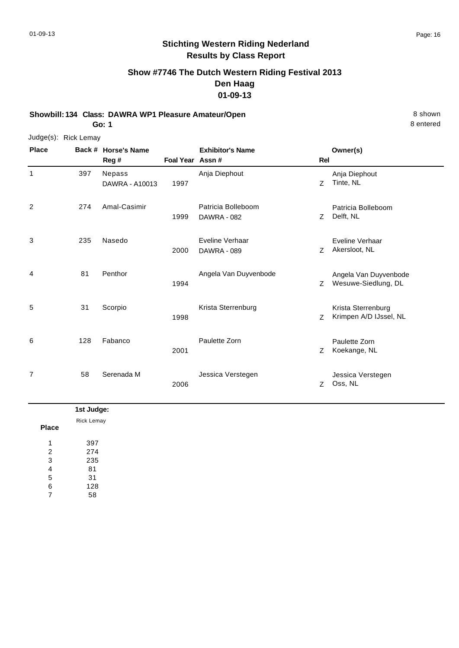# **Show #7746 The Dutch Western Riding Festival 2013 Den Haag 01-09-13**

**Showbill: 134 Class: DAWRA WP1 Pleasure Amateur/Open** 8 Shown 8 Shown **Go: 1**

Judge(s): Rick Lemay

| <b>Place</b> |     | Back # Horse's Name<br>Reg # | Foal Year Assn # | <b>Exhibitor's Name</b>                  | <b>Rel</b> | Owner(s)                                     |
|--------------|-----|------------------------------|------------------|------------------------------------------|------------|----------------------------------------------|
| $\mathbf{1}$ | 397 | Nepass<br>DAWRA - A10013     | 1997             | Anja Diephout                            | Z          | Anja Diephout<br>Tinte, NL                   |
| 2            | 274 | Amal-Casimir                 | 1999             | Patricia Bolleboom<br><b>DAWRA - 082</b> | Z          | Patricia Bolleboom<br>Delft, NL              |
| 3            | 235 | Nasedo                       | 2000             | Eveline Verhaar<br><b>DAWRA - 089</b>    | Z          | Eveline Verhaar<br>Akersloot, NL             |
| 4            | 81  | Penthor                      | 1994             | Angela Van Duyvenbode                    | Z          | Angela Van Duyvenbode<br>Wesuwe-Siedlung, DL |
| 5            | 31  | Scorpio                      | 1998             | Krista Sterrenburg                       | Z          | Krista Sterrenburg<br>Krimpen A/D IJssel, NL |
| 6            | 128 | Fabanco                      | 2001             | Paulette Zorn                            | Z          | Paulette Zorn<br>Koekange, NL                |
| 7            | 58  | Serenada M                   | 2006             | Jessica Verstegen                        | Z.         | Jessica Verstegen<br>Oss, NL                 |

|              | 1st Judge: |
|--------------|------------|
| <b>Place</b> | Rick Lemay |
| 1            | 397        |
| 2            | 274        |
| 3            | 235        |
| 4            | 81         |
| 5            | 31         |
| 6            | 128        |
| 7            | 58         |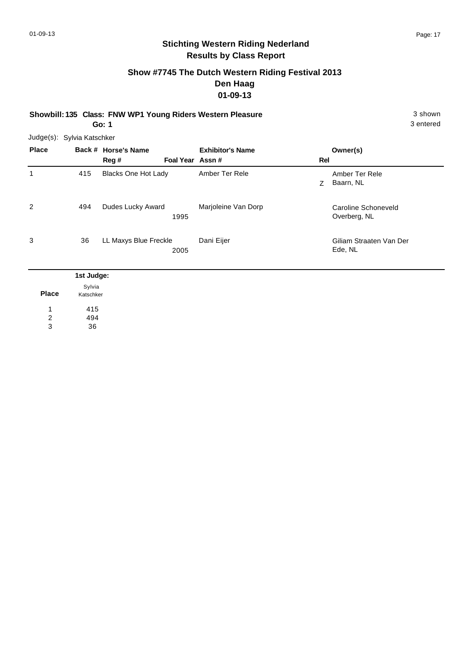# **Show #7745 The Dutch Western Riding Festival 2013 Den Haag 01-09-13**

**Showbill: 135 Class: FNW WP1 Young Riders Western Pleasure** 3 shown **Go: 1**

3 entered

Judge(s): Sylvia Katschker

| <b>Place</b> |                   | Back # Horse's Name<br>Reg # | Foal Year Assn# | <b>Exhibitor's Name</b> | Rel | Owner(s)                            |
|--------------|-------------------|------------------------------|-----------------|-------------------------|-----|-------------------------------------|
| 1            | 415               | <b>Blacks One Hot Lady</b>   |                 | Amber Ter Rele          | Z.  | Amber Ter Rele<br>Baarn, NL         |
| 2            | 494               | Dudes Lucky Award            | 1995            | Marjoleine Van Dorp     |     | Caroline Schoneveld<br>Overberg, NL |
| 3            | 36                | LL Maxys Blue Freckle        | 2005            | Dani Eijer              |     | Giliam Straaten Van Der<br>Ede, NL  |
|              | died to calculate |                              |                 |                         |     |                                     |

|              | 1st Judge:          |
|--------------|---------------------|
| <b>Place</b> | Sylvia<br>Katschker |
| 1            | 415                 |
| 2            | 494                 |
| 3            | 36                  |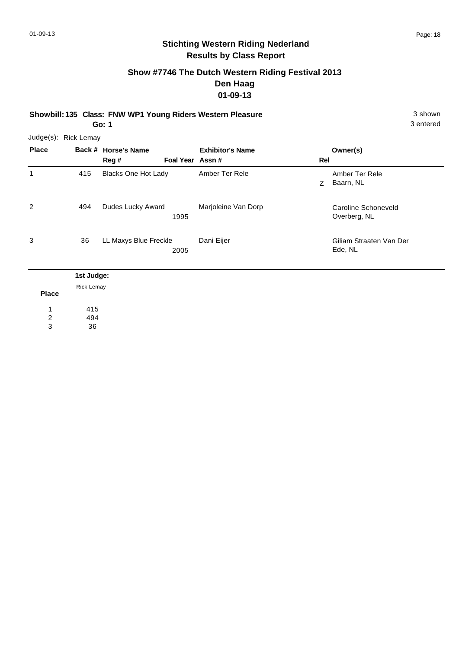# **Show #7746 The Dutch Western Riding Festival 2013 Den Haag 01-09-13**

**Showbill: 135 Class: FNW WP1 Young Riders Western Pleasure** 3 shown **Go: 1**

| <b>Place</b> |     | Back # Horse's Name           | <b>Exhibitor's Name</b> |     | Owner(s)                            |
|--------------|-----|-------------------------------|-------------------------|-----|-------------------------------------|
|              |     | Reg#<br>Foal Year Assn#       |                         | Rel |                                     |
| 1            | 415 | <b>Blacks One Hot Lady</b>    | Amber Ter Rele          | Z   | Amber Ter Rele<br>Baarn, NL         |
| 2            | 494 | Dudes Lucky Award<br>1995     | Marjoleine Van Dorp     |     | Caroline Schoneveld<br>Overberg, NL |
| 3            | 36  | LL Maxys Blue Freckle<br>2005 | Dani Eijer              |     | Giliam Straaten Van Der<br>Ede, NL  |

|                         | 1st Judge: |
|-------------------------|------------|
|                         | Rick Lemay |
| <b>Place</b>            |            |
|                         | 415        |
| $\overline{\mathbf{c}}$ | 494        |
| 3                       | 36         |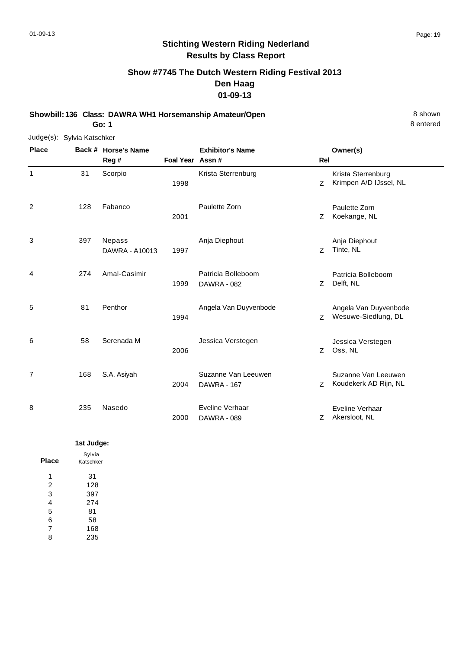# **Show #7745 The Dutch Western Riding Festival 2013 Den Haag 01-09-13**

**Showbill: 136 Class: DAWRA WH1 Horsemanship Amateur/Open** 8 shown **Go: 1**

Judge(s): Sylvia Katschker **Back # Horse's Name Place Owner(s) Reg # Assn # Foal Year Rel Exhibitor's Name** 1 1998 **Z** Krimpen A/D IJssel, NL Krista Sterrenburg 31 Scorpio Krista Sterrenburg 2 Z 2001 Koekange, NL Paulette Zorn 128 Fabanco Paulette Zorn 3 Z 1997 Tinte, NL Anja Diephout Nepass DAWRA - A10013 397 Anja Diephout 4 7 Delft, NL Patricia Bolleboom 1999 Delft, NL DAWRA - 082 Amal-Casimir Patricia Bolleboom 274 5 Z 1994 Wesuwe-Siedlung, DL Angela Van Duyvenbode 81 Penthor **Angela Van Duyvenbode** 6 Z 2006 Oss, NL Jessica Verstegen 58 Serenada M Jessica Verstegen 7 2004 DAWRA - 167 Martin Communic Z Koudekerk AD Rijn, NL Suzanne Van Leeuwen S.A. Asiyah Suzanne Van Leeuwen DAWRA - 167 168 8 2000 DAWRA - 089 CHARL CONTROLLEY ARE ARESION, NL Eveline Verhaar Nasedo **Eveline Verhaar** DAWRA - 089 235

| 1st Judge:          |
|---------------------|
| Sylvia<br>Katschker |
| 31                  |
| 128                 |
| 397                 |
| 274                 |
| 81                  |
| 58                  |
| 168                 |
| 235                 |
|                     |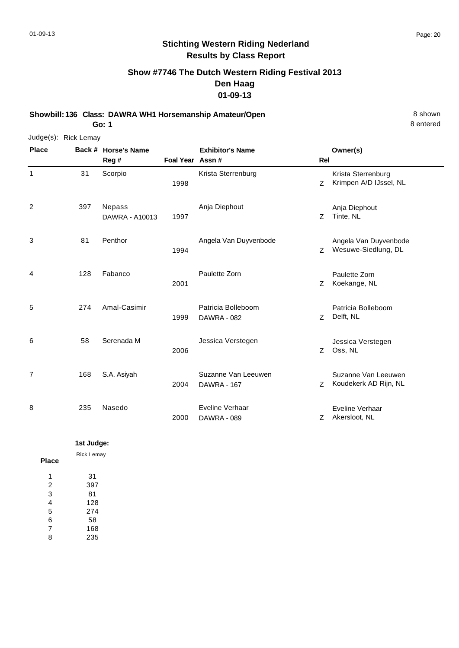# **Stichting Western Riding Nederland Results by Class Report**

# **Show #7746 The Dutch Western Riding Festival 2013 Den Haag 01-09-13**

**Showbill: 136 Class: DAWRA WH1 Horsemanship Amateur/Open** 8 shown 8 shown **Go: 1**

| Judge(s): Rick Lemay |     |                              |                  |                                           |                |                                              |
|----------------------|-----|------------------------------|------------------|-------------------------------------------|----------------|----------------------------------------------|
| <b>Place</b>         |     | Back # Horse's Name<br>Reg # | Foal Year Assn # | <b>Exhibitor's Name</b>                   | <b>Rel</b>     | Owner(s)                                     |
| $\mathbf{1}$         | 31  | Scorpio                      | 1998             | Krista Sterrenburg                        | Z              | Krista Sterrenburg<br>Krimpen A/D IJssel, NL |
| 2                    | 397 | Nepass<br>DAWRA - A10013     | 1997             | Anja Diephout                             | $\overline{z}$ | Anja Diephout<br>Tinte, NL                   |
| 3                    | 81  | Penthor                      | 1994             | Angela Van Duyvenbode                     | Z              | Angela Van Duyvenbode<br>Wesuwe-Siedlung, DL |
| 4                    | 128 | Fabanco                      | 2001             | Paulette Zorn                             | Z              | Paulette Zorn<br>Koekange, NL                |
| 5                    | 274 | Amal-Casimir                 | 1999             | Patricia Bolleboom<br>DAWRA - 082         | Z              | Patricia Bolleboom<br>Delft, NL              |
| 6                    | 58  | Serenada M                   | 2006             | Jessica Verstegen                         | Z              | Jessica Verstegen<br>Oss, NL                 |
| $\overline{7}$       | 168 | S.A. Asiyah                  | 2004             | Suzanne Van Leeuwen<br><b>DAWRA - 167</b> | Z              | Suzanne Van Leeuwen<br>Koudekerk AD Rijn, NL |
| 8                    | 235 | Nasedo                       | 2000             | Eveline Verhaar<br><b>DAWRA - 089</b>     | Z              | Eveline Verhaar<br>Akersloot, NL             |

|                | 1st Judge:        |
|----------------|-------------------|
| <b>Place</b>   | <b>Rick Lemay</b> |
| 1              | 31                |
| 2              | 397               |
| 3              | 81                |
| 4              | 128               |
| 5              | 274               |
| 6              | 58                |
| $\overline{7}$ | 168               |
| 8              | 235               |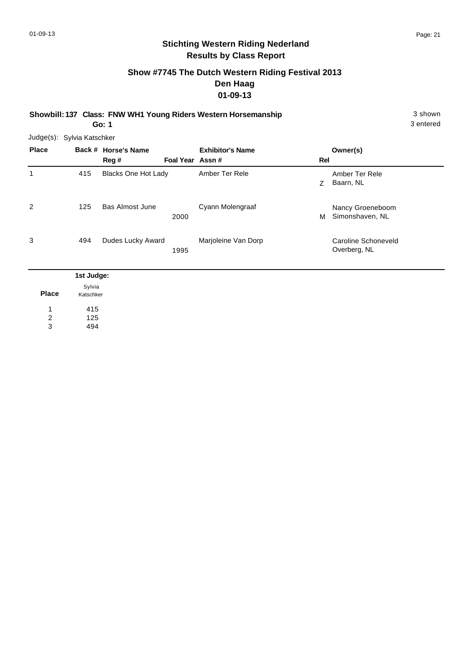# **Show #7745 The Dutch Western Riding Festival 2013 Den Haag 01-09-13**

**Showbill: 137 Class: FNW WH1 Young Riders Western Horsemanship** 3 shown 3 shown

**Go: 1**

|              | Judge(s): Sylvia Katschker |                             |                 |                         |     |                                     |
|--------------|----------------------------|-----------------------------|-----------------|-------------------------|-----|-------------------------------------|
| <b>Place</b> |                            | Back # Horse's Name<br>Reg# | Foal Year Assn# | <b>Exhibitor's Name</b> | Rel | Owner(s)                            |
| 1            | 415                        | <b>Blacks One Hot Lady</b>  |                 | Amber Ter Rele          | Z   | Amber Ter Rele<br>Baarn, NL         |
| 2            | 125                        | <b>Bas Almost June</b>      | 2000            | Cyann Molengraaf        | м   | Nancy Groeneboom<br>Simonshaven, NL |
| 3            | 494                        | Dudes Lucky Award           | 1995            | Marjoleine Van Dorp     |     | Caroline Schoneveld<br>Overberg, NL |
|              | 1st Judge:                 |                             |                 |                         |     |                                     |

| Sylvia    |
|-----------|
| Katschker |
| 415       |
| 125       |
| 494       |
|           |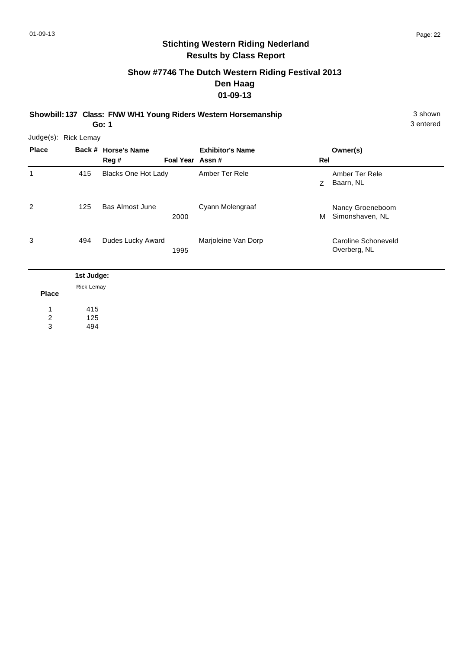3 entered

# **Stichting Western Riding Nederland Results by Class Report**

# **Show #7746 The Dutch Western Riding Festival 2013 Den Haag 01-09-13**

**Showbill: 137 Class: FNW WH1 Young Riders Western Horsemanship** 3 shown 3 shown

**Go: 1**

| <b>Place</b> |            | Back # Horse's Name        |                 | <b>Exhibitor's Name</b> |     | Owner(s)                            |
|--------------|------------|----------------------------|-----------------|-------------------------|-----|-------------------------------------|
|              |            | Reg #                      | Foal Year Assn# |                         | Rel |                                     |
| 1            | 415        | <b>Blacks One Hot Lady</b> |                 | Amber Ter Rele          | Z   | Amber Ter Rele<br>Baarn, NL         |
| 2            | 125        | Bas Almost June            | 2000            | Cyann Molengraaf        | м   | Nancy Groeneboom<br>Simonshaven, NL |
| 3            | 494        | Dudes Lucky Award          | 1995            | Marjoleine Van Dorp     |     | Caroline Schoneveld<br>Overberg, NL |
|              | 1st Judge: |                            |                 |                         |     |                                     |

|              | $\tilde{\phantom{a}}$ |
|--------------|-----------------------|
|              | <b>Rick Lemay</b>     |
| <b>Place</b> |                       |
|              |                       |
| 1            | 415                   |
| 2            | 125                   |
| 3            | 494                   |
|              |                       |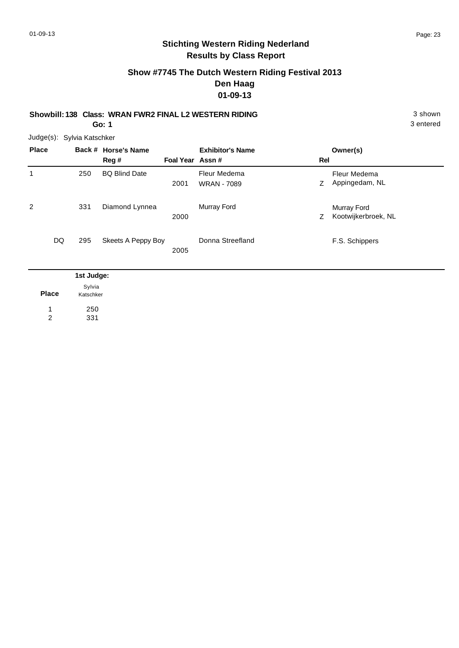# **Show #7745 The Dutch Western Riding Festival 2013 Den Haag 01-09-13**

#### **Showbill: 138 Class: WRAN FWR2 FINAL L2 WESTERN RIDING** 3 shown **Go: 1**

3 entered

Judge(s): Sylvia Katschker

| <b>Place</b> |     | Back # Horse's Name<br>Reg # | Foal Year Assn # | <b>Exhibitor's Name</b>            | Rel | Owner(s)                           |
|--------------|-----|------------------------------|------------------|------------------------------------|-----|------------------------------------|
| 1            | 250 | <b>BQ Blind Date</b>         | 2001             | Fleur Medema<br><b>WRAN - 7089</b> | Z.  | Fleur Medema<br>Appingedam, NL     |
| 2            | 331 | Diamond Lynnea               | 2000             | Murray Ford                        | Z   | Murray Ford<br>Kootwijkerbroek, NL |
| DQ           | 295 | Skeets A Peppy Boy           | 2005             | Donna Streefland                   |     | F.S. Schippers                     |

|              | 1st Judge:          |  |
|--------------|---------------------|--|
| <b>Place</b> | Sylvia<br>Katschker |  |
| 1            | 250                 |  |
| າ            | 331                 |  |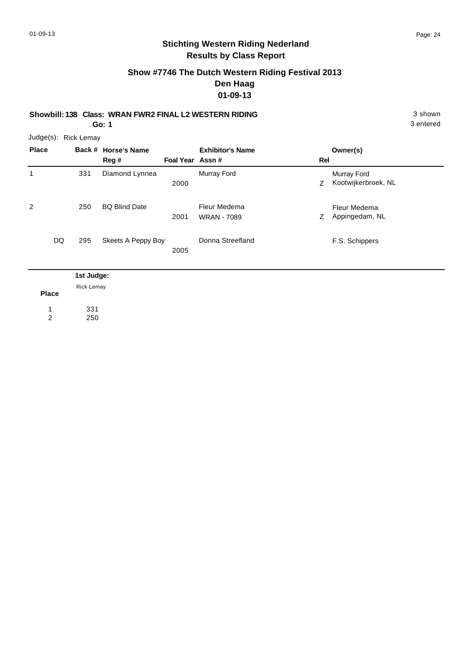## **Show #7746 The Dutch Western Riding Festival 2013 Den Haag 01-09-13**

**Showbill: 138 Class: WRAN FWR2 FINAL L2 WESTERN RIDING** 3 shown **Go: 1**

3 entered

| <b>Place</b> |     | Back # Horse's Name<br>Reg # | Foal Year Assn# | <b>Exhibitor's Name</b>            | Rel | Owner(s)                           |
|--------------|-----|------------------------------|-----------------|------------------------------------|-----|------------------------------------|
| 1            | 331 | Diamond Lynnea               | 2000            | Murray Ford                        | Z   | Murray Ford<br>Kootwijkerbroek, NL |
| 2            | 250 | <b>BQ Blind Date</b>         | 2001            | Fleur Medema<br><b>WRAN - 7089</b> | Z   | Fleur Medema<br>Appingedam, NL     |
| DQ           | 295 | Skeets A Peppy Boy           | 2005            | Donna Streefland                   |     | F.S. Schippers                     |

| <b>Place</b> | <b>Rick Lemay</b> |
|--------------|-------------------|
| 1            | 331               |
| 2            | 250               |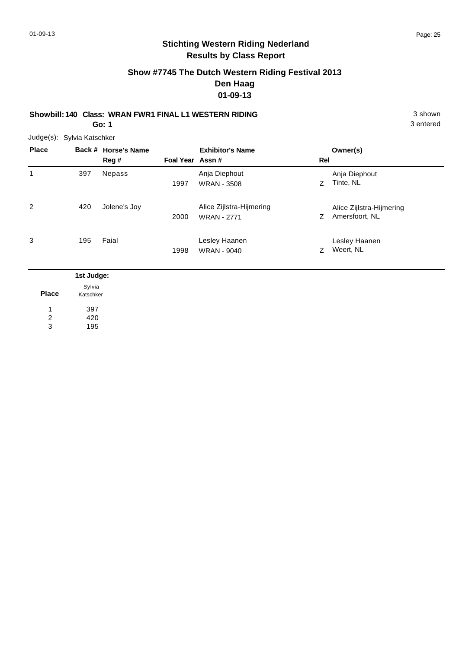# **Show #7745 The Dutch Western Riding Festival 2013 Den Haag 01-09-13**

#### **Showbill: 140 Class: WRAN FWR1 FINAL L1 WESTERN RIDING** 3 shown **Go: 1**

Judge(s): Sylvia Katschker

| <b>Place</b> |            | Back # Horse's Name<br>Reg # | Foal Year Assn# | <b>Exhibitor's Name</b>                        | Rel | Owner(s)                                   |
|--------------|------------|------------------------------|-----------------|------------------------------------------------|-----|--------------------------------------------|
| 1            | 397        | Nepass                       | 1997            | Anja Diephout<br><b>WRAN - 3508</b>            | Ζ   | Anja Diephout<br>Tinte, NL                 |
| 2            | 420        | Jolene's Joy                 | 2000            | Alice Zijlstra-Hijmering<br><b>WRAN - 2771</b> | Ζ   | Alice Zijlstra-Hijmering<br>Amersfoort, NL |
| 3            | 195        | Faial                        | 1998            | Lesley Haanen<br><b>WRAN - 9040</b>            | Ζ   | Lesley Haanen<br>Weert, NL                 |
|              | 1st Judge: |                              |                 |                                                |     |                                            |

| <b>Place</b> | Sylvia<br>Katschker |
|--------------|---------------------|
| 1            | 397                 |
| 2            | 420                 |
| 3            | 195                 |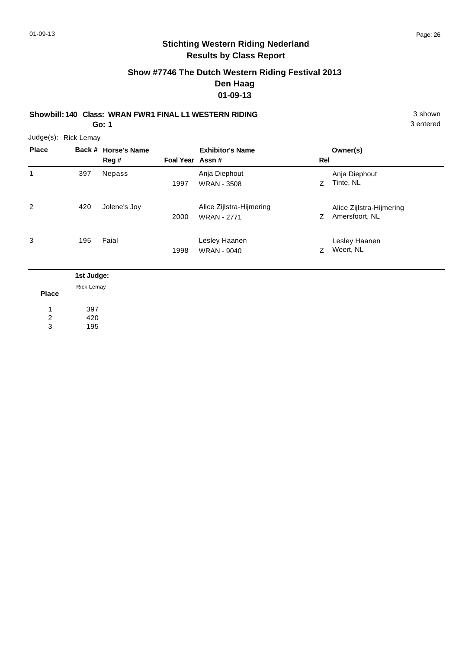# **Show #7746 The Dutch Western Riding Festival 2013 Den Haag 01-09-13**

**Showbill: 140 Class: WRAN FWR1 FINAL L1 WESTERN RIDING** 3 shown **Go: 1**

Judge(s): Rick Lemay

| <b>Place</b> |            | Back # Horse's Name<br>Reg # | Foal Year Assn# | <b>Exhibitor's Name</b>                        | Rel | Owner(s)                                   |
|--------------|------------|------------------------------|-----------------|------------------------------------------------|-----|--------------------------------------------|
| 1            | 397        | Nepass                       | 1997            | Anja Diephout<br><b>WRAN - 3508</b>            | Z.  | Anja Diephout<br>Tinte, NL                 |
| 2            | 420        | Jolene's Joy                 | 2000            | Alice Zijlstra-Hijmering<br><b>WRAN - 2771</b> | Ζ   | Alice Zijlstra-Hijmering<br>Amersfoort, NL |
| 3            | 195        | Faial                        | 1998            | Lesley Haanen<br><b>WRAN - 9040</b>            | Z   | Lesley Haanen<br>Weert, NL                 |
|              | 1st Judge: |                              |                 |                                                |     |                                            |

| Place | Rick Lemay |
|-------|------------|
| 1     | 397        |
| 2     | 420        |
| 3     | 195        |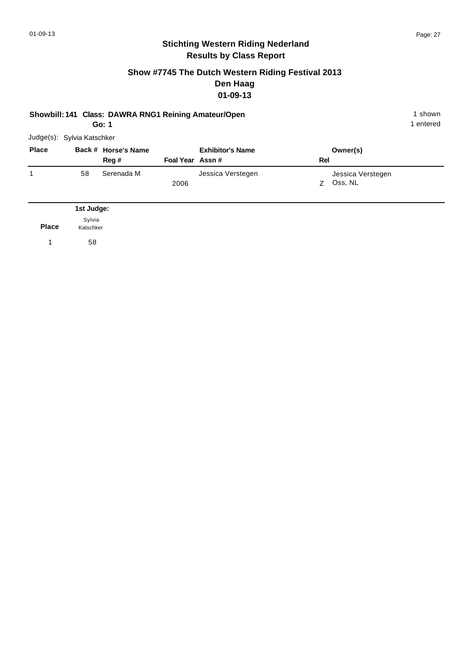#### **Show #7745 The Dutch Western Riding Festival 2013 Den Haag 01-09-13**

# **Showbill: 141 Class: DAWRA RNG1 Reining Amateur/Open** 1 shown 1 shown

**Go: 1**

|              | Judge(s): Sylvia Katschker |                     |                 |                         |     |                   |
|--------------|----------------------------|---------------------|-----------------|-------------------------|-----|-------------------|
| <b>Place</b> |                            | Back # Horse's Name |                 | <b>Exhibitor's Name</b> |     | Owner(s)          |
|              |                            | Reg#                | Foal Year Assn# |                         | Rel |                   |
|              | 58                         | Serenada M          |                 | Jessica Verstegen       |     | Jessica Verstegen |
|              |                            |                     | 2006            |                         | 7   | Oss, NL           |
|              |                            |                     |                 |                         |     |                   |

|              | 1st Judge:          |
|--------------|---------------------|
| <b>Place</b> | Sylvia<br>Katschker |
|              | 58                  |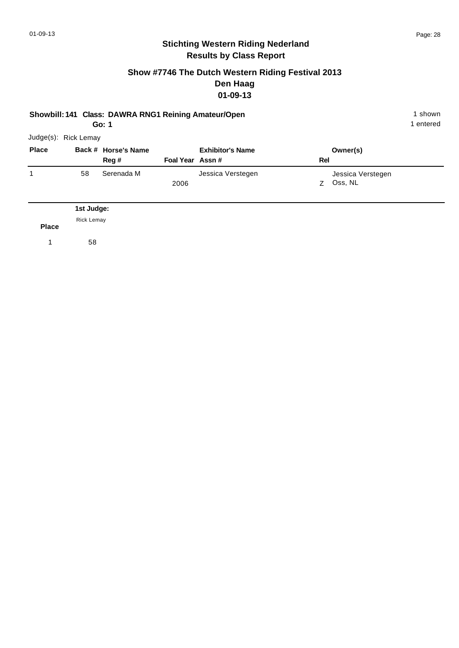#### **Show #7746 The Dutch Western Riding Festival 2013 Den Haag 01-09-13**

#### **Showbill: 141 Class: DAWRA RNG1 Reining Amateur/Open** 1 shown 1 shown

**Go: 1**

1 entered

| <b>Place</b> |    | Back # Horse's Name |                 | <b>Exhibitor's Name</b> |          | Owner(s)          |
|--------------|----|---------------------|-----------------|-------------------------|----------|-------------------|
|              |    | Reg #               | Foal Year Assn# |                         | Rel      |                   |
| 1            | 58 | Serenada M          |                 | Jessica Verstegen       |          | Jessica Verstegen |
|              |    |                     | 2006            |                         | <b>7</b> | Oss, NL           |

**Place** Rick Lemay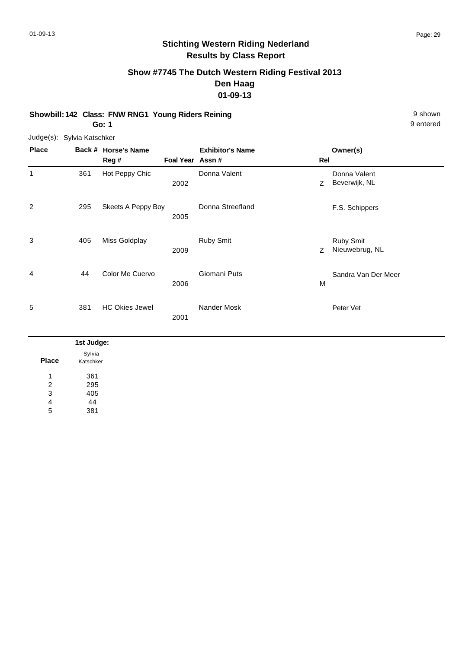# **Show #7745 The Dutch Western Riding Festival 2013 Den Haag 01-09-13**

**Showbill: 142 Class: FNW RNG1 Young Riders Reining 61 Class 20 Shown 9 shown 9 shown Go: 1**

Judge(s): Sylvia Katschker

**Back # Horse's Name Place Owner(s) Reg # Assn # Foal Year Rel Exhibitor's Name** 1 Z 2002 Beverwijk, NL Donna Valent 361 Hot Peppy Chic **Donna Valent** 2 F.S. Schippers 295 Skeets A Peppy Boy Donna Streefland 2005 3 Z 2009 Nieuwebrug, NL Ruby Smit 405 Miss Goldplay **Ruby Smit** 4 M Sandra Van Der Meer 2006 44 Color Me Cuervo Giomani Puts 5 Peter Vet 381 HC Okies Jewel Nander Mosk 2001

|              | 1st Judge:          |
|--------------|---------------------|
| <b>Place</b> | Sylvia<br>Katschker |
|              | 361                 |
| 2            | 295                 |
| 3            | 405                 |
| 4            | 44                  |
| 5            | 381                 |